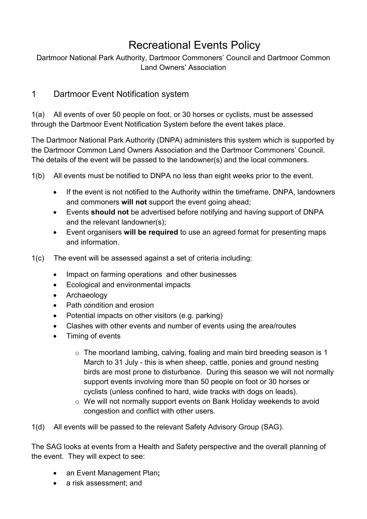# Recreational Events Policy

Dartmoor National Park Authority, Dartmoor Commoners' Council and Dartmoor Common Land Owners' Association

#### 1 Dartmoor Event Notification system

1(a) All events of over 50 people on foot, or 30 horses or cyclists, must be assessed through the Dartmoor Event Notification System before the event takes place.

The Dartmoor National Park Authority (DNPA) administers this system which is supported by the Dartmoor Common Land Owners Association and the Dartmoor Commoners' Council. The details of the event will be passed to the landowner(s) and the local commoners.

1(b) All events must be notified to DNPA no less than eight weeks prior to the event.

- If the event is not notified to the Authority within the timeframe, DNPA, landowners and commoners **will not** support the event going ahead;
- Events **should not** be advertised before notifying and having support of DNPA and the relevant landowner(s);
- Event organisers **will be required** to use an agreed format for presenting maps and information.

1(c) The event will be assessed against a set of criteria including:

- Impact on farming operations and other businesses
- Ecological and environmental impacts
- Archaeology
- Path condition and erosion
- Potential impacts on other visitors (e.g. parking)
- Clashes with other events and number of events using the area/routes
- Timing of events
	- o The moorland lambing, calving, foaling and main bird breeding season is 1 March to 31 July - this is when sheep, cattle, ponies and ground nesting birds are most prone to disturbance. During this season we will not normally support events involving more than 50 people on foot or 30 horses or cyclists (unless confined to hard, wide tracks with dogs on leads).
	- o We will not normally support events on Bank Holiday weekends to avoid congestion and conflict with other users.

1(d) All events will be passed to the relevant Safety Advisory Group (SAG).

The SAG looks at events from a Health and Safety perspective and the overall planning of the event. They will expect to see:

- an Event Management Plan**;**
- a risk assessment: and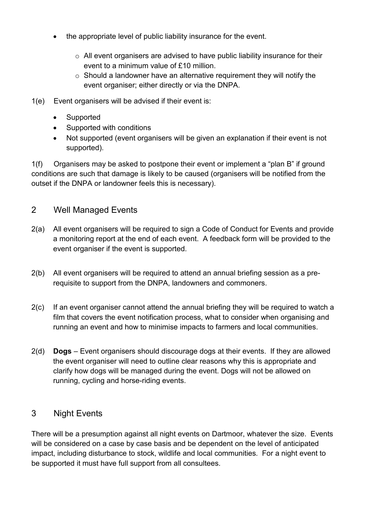- the appropriate level of public liability insurance for the event.
	- $\circ$  All event organisers are advised to have public liability insurance for their event to a minimum value of £10 million.
	- $\circ$  Should a landowner have an alternative requirement they will notify the event organiser; either directly or via the DNPA.
- 1(e) Event organisers will be advised if their event is:
	- Supported
	- Supported with conditions
	- Not supported (event organisers will be given an explanation if their event is not supported).

1(f) Organisers may be asked to postpone their event or implement a "plan B" if ground conditions are such that damage is likely to be caused (organisers will be notified from the outset if the DNPA or landowner feels this is necessary).

#### 2 Well Managed Events

- 2(a) All event organisers will be required to sign a Code of Conduct for Events and provide a monitoring report at the end of each event. A feedback form will be provided to the event organiser if the event is supported.
- 2(b) All event organisers will be required to attend an annual briefing session as a prerequisite to support from the DNPA, landowners and commoners.
- 2(c) If an event organiser cannot attend the annual briefing they will be required to watch a film that covers the event notification process, what to consider when organising and running an event and how to minimise impacts to farmers and local communities.
- 2(d) **Dogs** Event organisers should discourage dogs at their events. If they are allowed the event organiser will need to outline clear reasons why this is appropriate and clarify how dogs will be managed during the event. Dogs will not be allowed on running, cycling and horse-riding events.

### 3 Night Events

There will be a presumption against all night events on Dartmoor, whatever the size. Events will be considered on a case by case basis and be dependent on the level of anticipated impact, including disturbance to stock, wildlife and local communities. For a night event to be supported it must have full support from all consultees.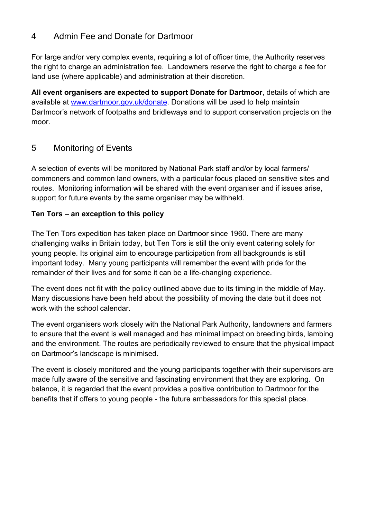### 4 Admin Fee and Donate for Dartmoor

For large and/or very complex events, requiring a lot of officer time, the Authority reserves the right to charge an administration fee. Landowners reserve the right to charge a fee for land use (where applicable) and administration at their discretion.

**All event organisers are expected to support Donate for Dartmoor**, details of which are available at [www.dartmoor.gov.uk/donate.](http://www.dartmoor.gov.uk/donate) Donations will be used to help maintain Dartmoor's network of footpaths and bridleways and to support conservation projects on the moor.

#### 5 Monitoring of Events

A selection of events will be monitored by National Park staff and/or by local farmers/ commoners and common land owners, with a particular focus placed on sensitive sites and routes. Monitoring information will be shared with the event organiser and if issues arise, support for future events by the same organiser may be withheld.

#### **Ten Tors – an exception to this policy**

The Ten Tors expedition has taken place on Dartmoor since 1960. There are many challenging walks in Britain today, but Ten Tors is still the only event catering solely for young people. Its original aim to encourage participation from all backgrounds is still important today. Many young participants will remember the event with pride for the remainder of their lives and for some it can be a life-changing experience.

The event does not fit with the policy outlined above due to its timing in the middle of May. Many discussions have been held about the possibility of moving the date but it does not work with the school calendar.

The event organisers work closely with the National Park Authority, landowners and farmers to ensure that the event is well managed and has minimal impact on breeding birds, lambing and the environment. The routes are periodically reviewed to ensure that the physical impact on Dartmoor's landscape is minimised.

The event is closely monitored and the young participants together with their supervisors are made fully aware of the sensitive and fascinating environment that they are exploring. On balance, it is regarded that the event provides a positive contribution to Dartmoor for the benefits that if offers to young people - the future ambassadors for this special place.